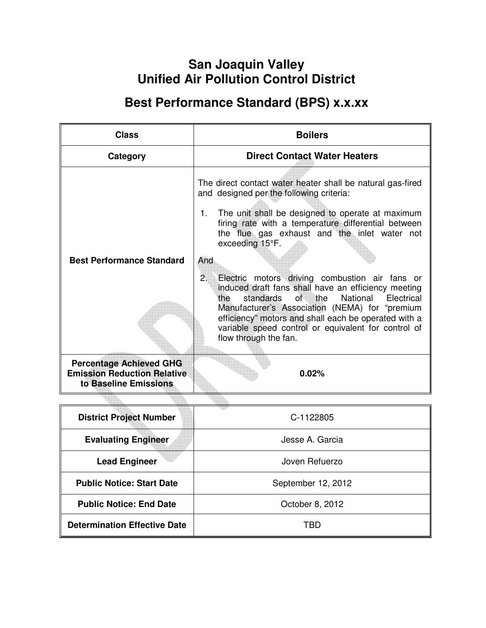# **San Joaquin Valley Unified Air Pollution Control District**

# **Best Performance Standard (BPS) x.x.xx**

| <b>Class</b>                                                                                  | <b>Boilers</b>                                                                                                                                                                                                                                                                                                                                                                                                                                                                                                                                                                                                                                                        |  |
|-----------------------------------------------------------------------------------------------|-----------------------------------------------------------------------------------------------------------------------------------------------------------------------------------------------------------------------------------------------------------------------------------------------------------------------------------------------------------------------------------------------------------------------------------------------------------------------------------------------------------------------------------------------------------------------------------------------------------------------------------------------------------------------|--|
| Category                                                                                      | <b>Direct Contact Water Heaters</b>                                                                                                                                                                                                                                                                                                                                                                                                                                                                                                                                                                                                                                   |  |
| <b>Best Performance Standard</b>                                                              | The direct contact water heater shall be natural gas-fired<br>and designed per the following criteria:<br>The unit shall be designed to operate at maximum<br>1.<br>firing rate with a temperature differential between<br>the flue gas exhaust and the inlet water not<br>exceeding 15°F.<br>And<br>2.<br>Electric motors driving combustion air fans or<br>induced draft fans shall have an efficiency meeting<br>standards<br>of<br>the<br>National<br>Electrical<br>the<br>Manufacturer's Association (NEMA) for "premium<br>efficiency" motors and shall each be operated with a<br>variable speed control or equivalent for control of<br>flow through the fan. |  |
| <b>Percentage Achieved GHG</b><br><b>Emission Reduction Relative</b><br>to Baseline Emissions | 0.02%                                                                                                                                                                                                                                                                                                                                                                                                                                                                                                                                                                                                                                                                 |  |
|                                                                                               |                                                                                                                                                                                                                                                                                                                                                                                                                                                                                                                                                                                                                                                                       |  |
| <b>District Project Number</b>                                                                | C-1122805                                                                                                                                                                                                                                                                                                                                                                                                                                                                                                                                                                                                                                                             |  |
| <b>Evaluating Engineer</b>                                                                    | Jesse A. Garcia                                                                                                                                                                                                                                                                                                                                                                                                                                                                                                                                                                                                                                                       |  |
| <b>Lead Engineer</b>                                                                          | Joven Refuerzo                                                                                                                                                                                                                                                                                                                                                                                                                                                                                                                                                                                                                                                        |  |

**Public Notice: Start Date Conservery 2012** September 12, 2012

**Public Notice: End Date**  $\vert$  **Colober 8, 2012** 

**Determination Effective Date TBD**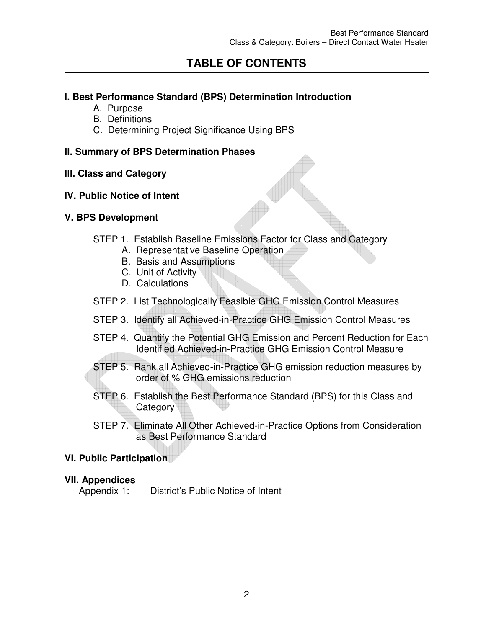# **TABLE OF CONTENTS**

### **l. Best Performance Standard (BPS) Determination Introduction**

- A. Purpose
- B. Definitions
- C. Determining Project Significance Using BPS

### **II. Summary of BPS Determination Phases**

#### **lll. Class and Category**

#### **lV. Public Notice of Intent**

#### **V. BPS Development**

- STEP 1. Establish Baseline Emissions Factor for Class and Category
	- A. Representative Baseline Operation
	- B. Basis and Assumptions
	- C. Unit of Activity
	- D. Calculations
- STEP 2. List Technologically Feasible GHG Emission Control Measures
- STEP 3. Identify all Achieved-in-Practice GHG Emission Control Measures
- STEP 4. Quantify the Potential GHG Emission and Percent Reduction for Each Identified Achieved-in-Practice GHG Emission Control Measure
- STEP 5. Rank all Achieved-in-Practice GHG emission reduction measures by order of % GHG emissions reduction
- STEP 6. Establish the Best Performance Standard (BPS) for this Class and **Category**
- STEP 7. Eliminate All Other Achieved-in-Practice Options from Consideration as Best Performance Standard

#### **VI. Public Participation**

#### **VII. Appendices**

Appendix 1: District's Public Notice of Intent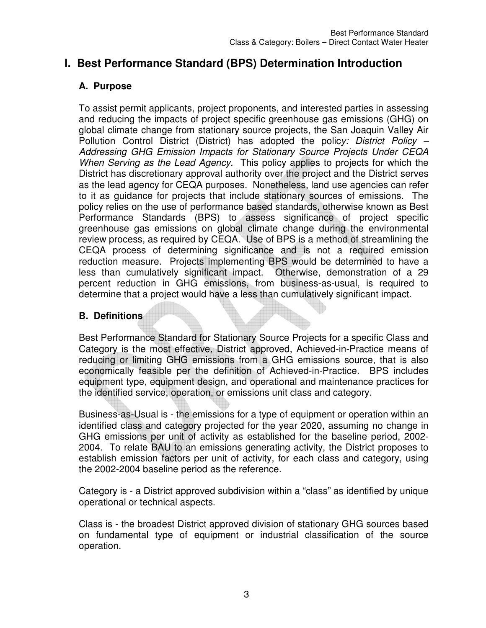## **I. Best Performance Standard (BPS) Determination Introduction**

## **A. Purpose**

To assist permit applicants, project proponents, and interested parties in assessing and reducing the impacts of project specific greenhouse gas emissions (GHG) on global climate change from stationary source projects, the San Joaquin Valley Air Pollution Control District (District) has adopted the polic*y: District Policy – Addressing GHG Emission Impacts for Stationary Source Projects Under CEQA When Serving as the Lead Agency.* This policy applies to projects for which the District has discretionary approval authority over the project and the District serves as the lead agency for CEQA purposes. Nonetheless, land use agencies can refer to it as guidance for projects that include stationary sources of emissions. The policy relies on the use of performance based standards, otherwise known as Best Performance Standards (BPS) to assess significance of project specific greenhouse gas emissions on global climate change during the environmental review process, as required by CEQA. Use of BPS is a method of streamlining the CEQA process of determining significance and is not a required emission reduction measure. Projects implementing BPS would be determined to have a less than cumulatively significant impact. Otherwise, demonstration of a 29 percent reduction in GHG emissions, from business-as-usual, is required to determine that a project would have a less than cumulatively significant impact.

## **B. Definitions**

Best Performance Standard for Stationary Source Projects for a specific Class and Category is the most effective, District approved, Achieved-in-Practice means of reducing or limiting GHG emissions from a GHG emissions source, that is also economically feasible per the definition of Achieved-in-Practice. BPS includes equipment type, equipment design, and operational and maintenance practices for the identified service, operation, or emissions unit class and category.

Business-as-Usual is - the emissions for a type of equipment or operation within an identified class and category projected for the year 2020, assuming no change in GHG emissions per unit of activity as established for the baseline period, 2002- 2004. To relate BAU to an emissions generating activity, the District proposes to establish emission factors per unit of activity, for each class and category, using the 2002-2004 baseline period as the reference.

Category is - a District approved subdivision within a "class" as identified by unique operational or technical aspects.

Class is - the broadest District approved division of stationary GHG sources based on fundamental type of equipment or industrial classification of the source operation.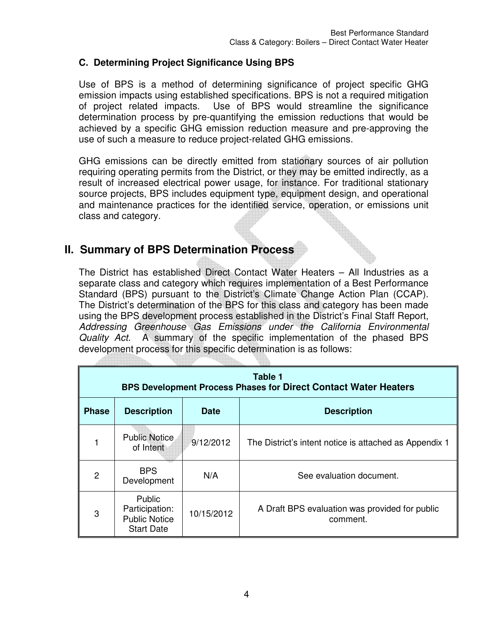### **C. Determining Project Significance Using BPS**

Use of BPS is a method of determining significance of project specific GHG emission impacts using established specifications. BPS is not a required mitigation of project related impacts. Use of BPS would streamline the significance determination process by pre-quantifying the emission reductions that would be achieved by a specific GHG emission reduction measure and pre-approving the use of such a measure to reduce project-related GHG emissions.

GHG emissions can be directly emitted from stationary sources of air pollution requiring operating permits from the District, or they may be emitted indirectly, as a result of increased electrical power usage, for instance. For traditional stationary source projects, BPS includes equipment type, equipment design, and operational and maintenance practices for the identified service, operation, or emissions unit class and category.

## **II. Summary of BPS Determination Process**

The District has established Direct Contact Water Heaters – All Industries as a separate class and category which requires implementation of a Best Performance Standard (BPS) pursuant to the District's Climate Change Action Plan (CCAP). The District's determination of the BPS for this class and category has been made using the BPS development process established in the District's Final Staff Report, *Addressing Greenhouse Gas Emissions under the California Environmental Quality Act.* A summary of the specific implementation of the phased BPS development process for this specific determination is as follows:

| Table 1<br><b>BPS Development Process Phases for Direct Contact Water Heaters</b> |                                                                       |             |                                                            |
|-----------------------------------------------------------------------------------|-----------------------------------------------------------------------|-------------|------------------------------------------------------------|
| <b>Phase</b>                                                                      | <b>Description</b>                                                    | <b>Date</b> | <b>Description</b>                                         |
|                                                                                   | <b>Public Notice</b><br>of Intent                                     | 9/12/2012   | The District's intent notice is attached as Appendix 1     |
| 2                                                                                 | <b>BPS</b><br>Development                                             | N/A         | See evaluation document.                                   |
| 3                                                                                 | Public<br>Participation:<br><b>Public Notice</b><br><b>Start Date</b> | 10/15/2012  | A Draft BPS evaluation was provided for public<br>comment. |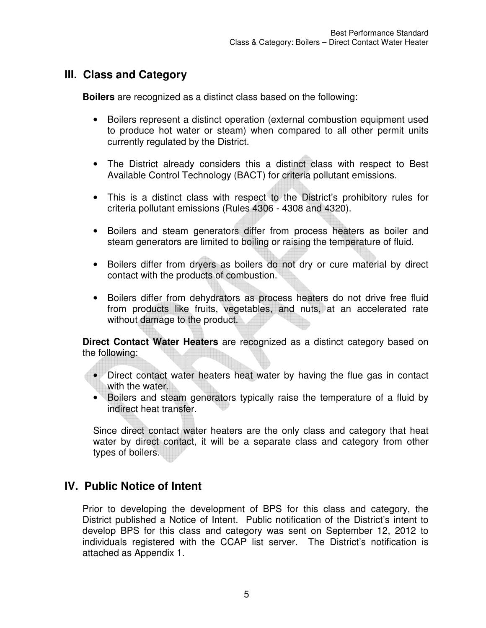## **III. Class and Category**

**Boilers** are recognized as a distinct class based on the following:

- Boilers represent a distinct operation (external combustion equipment used to produce hot water or steam) when compared to all other permit units currently regulated by the District.
- The District already considers this a distinct class with respect to Best Available Control Technology (BACT) for criteria pollutant emissions.
- This is a distinct class with respect to the District's prohibitory rules for criteria pollutant emissions (Rules 4306 - 4308 and 4320).
- Boilers and steam generators differ from process heaters as boiler and steam generators are limited to boiling or raising the temperature of fluid.
- Boilers differ from dryers as boilers do not dry or cure material by direct contact with the products of combustion.
- Boilers differ from dehydrators as process heaters do not drive free fluid from products like fruits, vegetables, and nuts, at an accelerated rate without damage to the product.

**Direct Contact Water Heaters** are recognized as a distinct category based on the following:

• Direct contact water heaters heat water by having the flue gas in contact with the water.

• Boilers and steam generators typically raise the temperature of a fluid by indirect heat transfer.

Since direct contact water heaters are the only class and category that heat water by direct contact, it will be a separate class and category from other types of boilers.

## **IV. Public Notice of Intent**

Prior to developing the development of BPS for this class and category, the District published a Notice of Intent. Public notification of the District's intent to develop BPS for this class and category was sent on September 12, 2012 to individuals registered with the CCAP list server. The District's notification is attached as Appendix 1.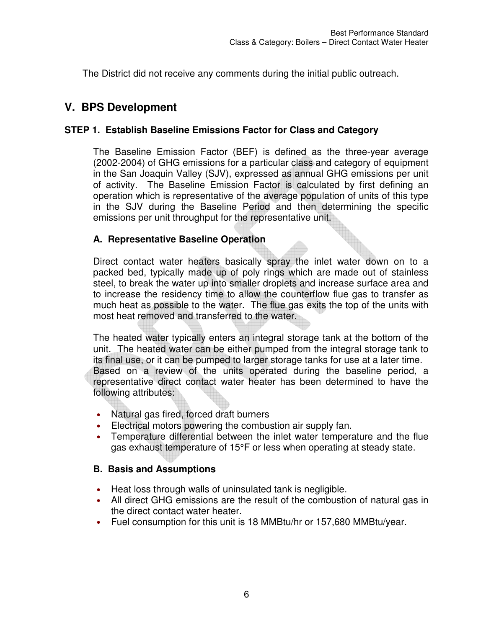The District did not receive any comments during the initial public outreach.

## **V. BPS Development**

## **STEP 1. Establish Baseline Emissions Factor for Class and Category**

The Baseline Emission Factor (BEF) is defined as the three-year average (2002-2004) of GHG emissions for a particular class and category of equipment in the San Joaquin Valley (SJV), expressed as annual GHG emissions per unit of activity. The Baseline Emission Factor is calculated by first defining an operation which is representative of the average population of units of this type in the SJV during the Baseline Period and then determining the specific emissions per unit throughput for the representative unit.

## **A. Representative Baseline Operation**

Direct contact water heaters basically spray the inlet water down on to a packed bed, typically made up of poly rings which are made out of stainless steel, to break the water up into smaller droplets and increase surface area and to increase the residency time to allow the counterflow flue gas to transfer as much heat as possible to the water. The flue gas exits the top of the units with most heat removed and transferred to the water.

The heated water typically enters an integral storage tank at the bottom of the unit. The heated water can be either pumped from the integral storage tank to its final use, or it can be pumped to larger storage tanks for use at a later time. Based on a review of the units operated during the baseline period, a representative direct contact water heater has been determined to have the following attributes:

- Natural gas fired, forced draft burners
- Electrical motors powering the combustion air supply fan.
- Temperature differential between the inlet water temperature and the flue gas exhaust temperature of 15°F or less when operating at steady state.

## **B. Basis and Assumptions**

- Heat loss through walls of uninsulated tank is negligible.
- All direct GHG emissions are the result of the combustion of natural gas in the direct contact water heater.
- Fuel consumption for this unit is 18 MMBtu/hr or 157,680 MMBtu/year.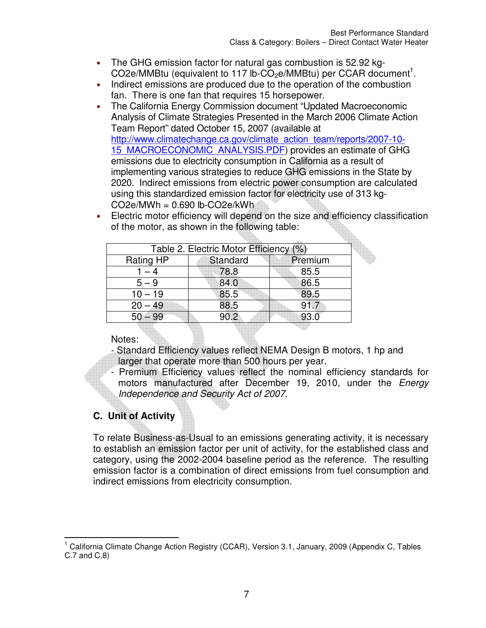- The GHG emission factor for natural gas combustion is 52.92 kg- $CO2e/MMB$ tu (equivalent to 117 lb- $CO<sub>2</sub>e/MMB$ tu) per CCAR document<sup>1</sup>.
- Indirect emissions are produced due to the operation of the combustion fan. There is one fan that requires 15 horsepower.
- The California Energy Commission document "Updated Macroeconomic Analysis of Climate Strategies Presented in the March 2006 Climate Action Team Report" dated October 15, 2007 (available at http://www.climatechange.ca.gov/climate\_action\_team/reports/2007-10-15 MACROECONOMIC ANALYSIS.PDF) provides an estimate of GHG emissions due to electricity consumption in California as a result of implementing various strategies to reduce GHG emissions in the State by 2020. Indirect emissions from electric power consumption are calculated using this standardized emission factor for electricity use of 313 kg- $CO2e/MWh = 0.690$  lb- $CO2e/kWh$
- Electric motor efficiency will depend on the size and efficiency classification of the motor, as shown in the following table:

| Table 2. Electric Motor Efficiency (%) |          |         |  |
|----------------------------------------|----------|---------|--|
| <b>Rating HP</b>                       | Standard | Premium |  |
| $1 - 4$                                | 78.8     | 85.5    |  |
| $5 - 9$                                | 84.0     | 86.5    |  |
| $10 - 19$                              | 85.5     | 89.5    |  |
| $20 - 49$                              | 88.5     | 91.7    |  |
| $50 - 99$                              | 90.2     | 93.0    |  |
|                                        |          |         |  |

Notes:

- Standard Efficiency values reflect NEMA Design B motors, 1 hp and larger that operate more than 500 hours per year.
- Premium Efficiency values reflect the nominal efficiency standards for motors manufactured after December 19, 2010, under the *Energy Independence and Security Act of 2007*.

# **C. Unit of Activity**

To relate Business-as-Usual to an emissions generating activity, it is necessary to establish an emission factor per unit of activity, for the established class and category, using the 2002-2004 baseline period as the reference. The resulting emission factor is a combination of direct emissions from fuel consumption and indirect emissions from electricity consumption.

 $\overline{a}$ <sup>1</sup> California Climate Change Action Registry (CCAR), Version 3.1, January, 2009 (Appendix C, Tables C.7 and C.8)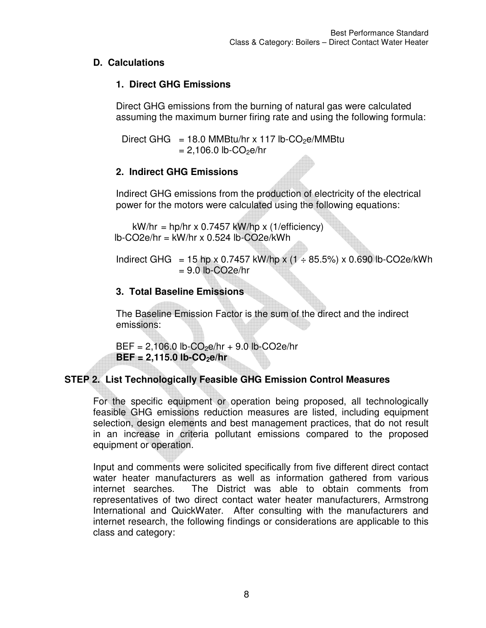## **D. Calculations**

## **1. Direct GHG Emissions**

Direct GHG emissions from the burning of natural gas were calculated assuming the maximum burner firing rate and using the following formula:

Direct GHG = 18.0 MMBtu/hr x 117 lb-CO<sub>2</sub>e/MMBtu  $= 2,106.0$  lb-CO<sub>2</sub>e/hr

## **2. Indirect GHG Emissions**

Indirect GHG emissions from the production of electricity of the electrical power for the motors were calculated using the following equations:

 $kW/hr = hp/hr \times 0.7457 kW/hp \times (1/efficiency)$  $lb$ -CO2e/hr = kW/hr x 0.524 lb-CO2e/kWh

Indirect GHG = 15 hp x 0.7457 kW/hp x (1  $\div$  85.5%) x 0.690 lb-CO2e/kWh  $= 9.0$  lb-CO2e/hr

## **3. Total Baseline Emissions**

The Baseline Emission Factor is the sum of the direct and the indirect emissions:

 $BEF = 2,106.0$  lb-CO<sub>2</sub>e/hr + 9.0 lb-CO2e/hr  $BEF = 2,115.0$  lb-CO<sub>2</sub>e/hr

## **STEP 2. List Technologically Feasible GHG Emission Control Measures**

For the specific equipment or operation being proposed, all technologically feasible GHG emissions reduction measures are listed, including equipment selection, design elements and best management practices, that do not result in an increase in criteria pollutant emissions compared to the proposed equipment or operation.

Input and comments were solicited specifically from five different direct contact water heater manufacturers as well as information gathered from various internet searches. The District was able to obtain comments from representatives of two direct contact water heater manufacturers, Armstrong International and QuickWater. After consulting with the manufacturers and internet research, the following findings or considerations are applicable to this class and category: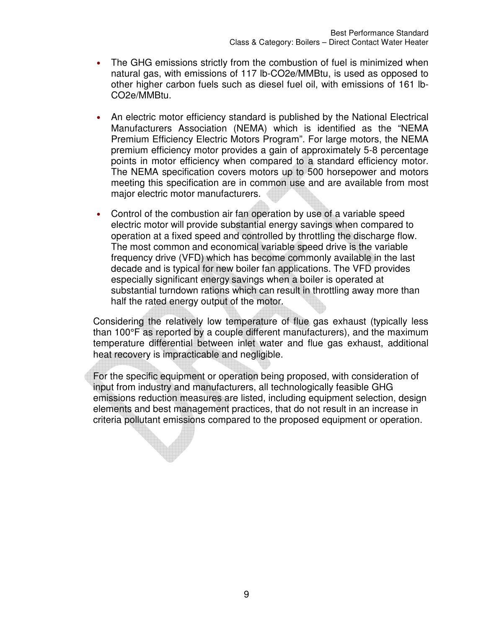- The GHG emissions strictly from the combustion of fuel is minimized when natural gas, with emissions of 117 lb-CO2e/MMBtu, is used as opposed to other higher carbon fuels such as diesel fuel oil, with emissions of 161 lb-CO2e/MMBtu.
- An electric motor efficiency standard is published by the National Electrical Manufacturers Association (NEMA) which is identified as the "NEMA Premium Efficiency Electric Motors Program". For large motors, the NEMA premium efficiency motor provides a gain of approximately 5-8 percentage points in motor efficiency when compared to a standard efficiency motor. The NEMA specification covers motors up to 500 horsepower and motors meeting this specification are in common use and are available from most major electric motor manufacturers.
- Control of the combustion air fan operation by use of a variable speed electric motor will provide substantial energy savings when compared to operation at a fixed speed and controlled by throttling the discharge flow. The most common and economical variable speed drive is the variable frequency drive (VFD) which has become commonly available in the last decade and is typical for new boiler fan applications. The VFD provides especially significant energy savings when a boiler is operated at substantial turndown rations which can result in throttling away more than half the rated energy output of the motor.

Considering the relatively low temperature of flue gas exhaust (typically less than 100°F as reported by a couple different manufacturers), and the maximum temperature differential between inlet water and flue gas exhaust, additional heat recovery is impracticable and negligible.

For the specific equipment or operation being proposed, with consideration of input from industry and manufacturers, all technologically feasible GHG emissions reduction measures are listed, including equipment selection, design elements and best management practices, that do not result in an increase in criteria pollutant emissions compared to the proposed equipment or operation.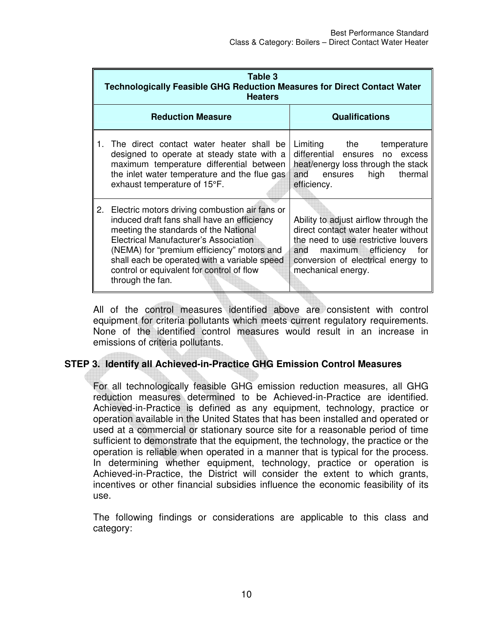|    | Table 3<br><b>Technologically Feasible GHG Reduction Measures for Direct Contact Water</b><br><b>Heaters</b>                                                                                                                                                                                                                                          |                                                                                                                                                                                                                     |  |  |
|----|-------------------------------------------------------------------------------------------------------------------------------------------------------------------------------------------------------------------------------------------------------------------------------------------------------------------------------------------------------|---------------------------------------------------------------------------------------------------------------------------------------------------------------------------------------------------------------------|--|--|
|    | <b>Reduction Measure</b>                                                                                                                                                                                                                                                                                                                              | <b>Qualifications</b>                                                                                                                                                                                               |  |  |
|    | The direct contact water heater shall be<br>designed to operate at steady state with a<br>maximum temperature differential between<br>the inlet water temperature and the flue gas<br>exhaust temperature of 15°F.                                                                                                                                    | Limiting the temperature<br>differential ensures no<br>excess<br>heat/energy loss through the stack<br>thermal<br>high<br>and<br>ensures<br>efficiency.                                                             |  |  |
| 2. | Electric motors driving combustion air fans or<br>induced draft fans shall have an efficiency<br>meeting the standards of the National<br><b>Electrical Manufacturer's Association</b><br>(NEMA) for "premium efficiency" motors and<br>shall each be operated with a variable speed<br>control or equivalent for control of flow<br>through the fan. | Ability to adjust airflow through the<br>direct contact water heater without<br>the need to use restrictive louvers<br>maximum efficiency<br>for<br>and<br>conversion of electrical energy to<br>mechanical energy. |  |  |

All of the control measures identified above are consistent with control equipment for criteria pollutants which meets current regulatory requirements. None of the identified control measures would result in an increase in emissions of criteria pollutants.

## **STEP 3. Identify all Achieved-in-Practice GHG Emission Control Measures**

For all technologically feasible GHG emission reduction measures, all GHG reduction measures determined to be Achieved-in-Practice are identified. Achieved-in-Practice is defined as any equipment, technology, practice or operation available in the United States that has been installed and operated or used at a commercial or stationary source site for a reasonable period of time sufficient to demonstrate that the equipment, the technology, the practice or the operation is reliable when operated in a manner that is typical for the process. In determining whether equipment, technology, practice or operation is Achieved-in-Practice, the District will consider the extent to which grants, incentives or other financial subsidies influence the economic feasibility of its use.

The following findings or considerations are applicable to this class and category: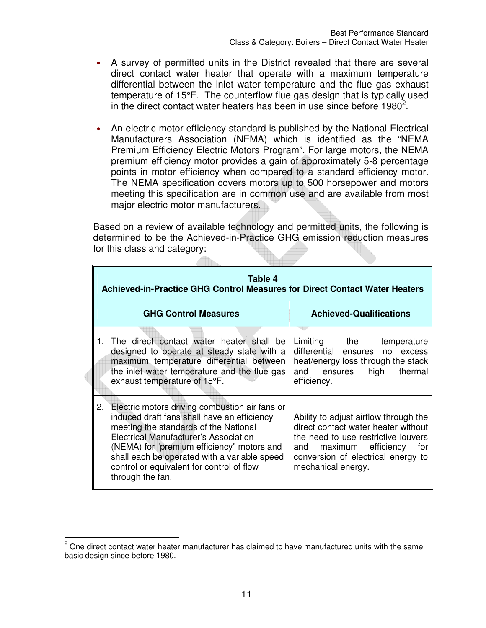- A survey of permitted units in the District revealed that there are several direct contact water heater that operate with a maximum temperature differential between the inlet water temperature and the flue gas exhaust temperature of 15°F. The counterflow flue gas design that is typically used in the direct contact water heaters has been in use since before  $1980^2$ .
- An electric motor efficiency standard is published by the National Electrical Manufacturers Association (NEMA) which is identified as the "NEMA Premium Efficiency Electric Motors Program". For large motors, the NEMA premium efficiency motor provides a gain of approximately 5-8 percentage points in motor efficiency when compared to a standard efficiency motor. The NEMA specification covers motors up to 500 horsepower and motors meeting this specification are in common use and are available from most major electric motor manufacturers.

Based on a review of available technology and permitted units, the following is determined to be the Achieved-in-Practice GHG emission reduction measures for this class and category:

| Table 4<br>Achieved-in-Practice GHG Control Measures for Direct Contact Water Heaters                                                                                                                                                                                                                                                             |                                                                                                                                                                                                                     |  |  |  |  |
|---------------------------------------------------------------------------------------------------------------------------------------------------------------------------------------------------------------------------------------------------------------------------------------------------------------------------------------------------|---------------------------------------------------------------------------------------------------------------------------------------------------------------------------------------------------------------------|--|--|--|--|
| <b>GHG Control Measures</b>                                                                                                                                                                                                                                                                                                                       | <b>Achieved-Qualifications</b>                                                                                                                                                                                      |  |  |  |  |
| 1. The direct contact water heater shall be<br>designed to operate at steady state with a<br>maximum temperature differential between<br>the inlet water temperature and the flue gas<br>exhaust temperature of 15°F.                                                                                                                             | Limiting the<br>temperature<br>differential ensures no excess<br>heat/energy loss through the stack<br>and ensures<br>high<br>thermal<br>efficiency.                                                                |  |  |  |  |
| 2. Electric motors driving combustion air fans or<br>induced draft fans shall have an efficiency<br>meeting the standards of the National<br>Electrical Manufacturer's Association<br>(NEMA) for "premium efficiency" motors and<br>shall each be operated with a variable speed<br>control or equivalent for control of flow<br>through the fan. | Ability to adjust airflow through the<br>direct contact water heater without<br>the need to use restrictive louvers<br>maximum efficiency<br>for<br>and<br>conversion of electrical energy to<br>mechanical energy. |  |  |  |  |

 2 One direct contact water heater manufacturer has claimed to have manufactured units with the same basic design since before 1980.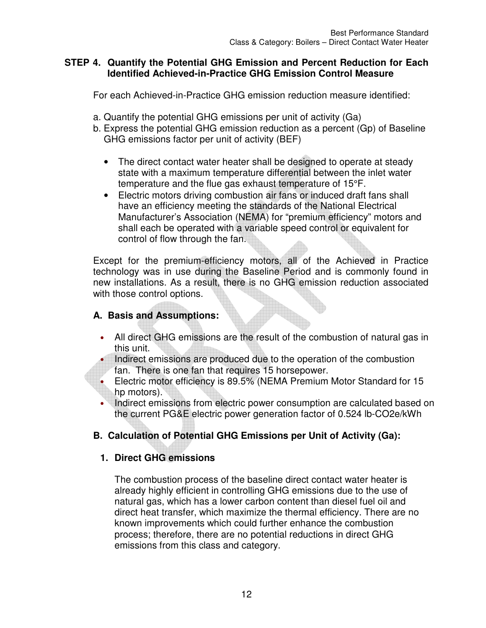#### **STEP 4. Quantify the Potential GHG Emission and Percent Reduction for Each Identified Achieved-in-Practice GHG Emission Control Measure**

For each Achieved-in-Practice GHG emission reduction measure identified:

- a. Quantify the potential GHG emissions per unit of activity (Ga)
- b. Express the potential GHG emission reduction as a percent (Gp) of Baseline GHG emissions factor per unit of activity (BEF)
	- The direct contact water heater shall be designed to operate at steady state with a maximum temperature differential between the inlet water temperature and the flue gas exhaust temperature of 15°F.
	- Electric motors driving combustion air fans or induced draft fans shall have an efficiency meeting the standards of the National Electrical Manufacturer's Association (NEMA) for "premium efficiency" motors and shall each be operated with a variable speed control or equivalent for control of flow through the fan.

Except for the premium-efficiency motors, all of the Achieved in Practice technology was in use during the Baseline Period and is commonly found in new installations. As a result, there is no GHG emission reduction associated with those control options.

## **A. Basis and Assumptions:**

- All direct GHG emissions are the result of the combustion of natural gas in this unit.
	- Indirect emissions are produced due to the operation of the combustion fan. There is one fan that requires 15 horsepower.
- Electric motor efficiency is 89.5% (NEMA Premium Motor Standard for 15 hp motors).
- Indirect emissions from electric power consumption are calculated based on the current PG&E electric power generation factor of 0.524 lb-CO2e/kWh

## **B. Calculation of Potential GHG Emissions per Unit of Activity (Ga):**

## **1. Direct GHG emissions**

The combustion process of the baseline direct contact water heater is already highly efficient in controlling GHG emissions due to the use of natural gas, which has a lower carbon content than diesel fuel oil and direct heat transfer, which maximize the thermal efficiency. There are no known improvements which could further enhance the combustion process; therefore, there are no potential reductions in direct GHG emissions from this class and category.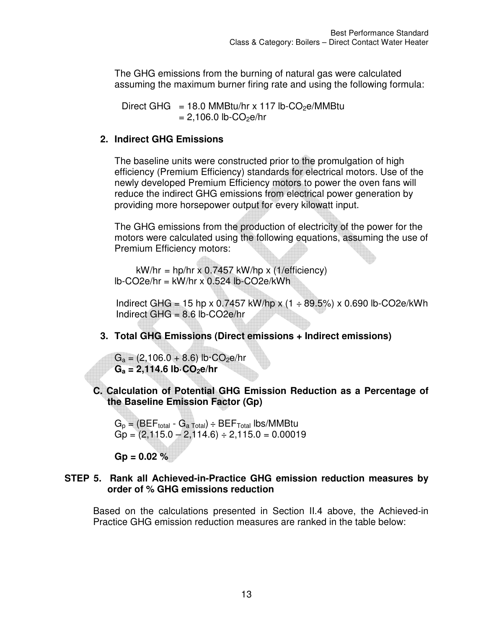The GHG emissions from the burning of natural gas were calculated assuming the maximum burner firing rate and using the following formula:

Direct GHG = 18.0 MMBtu/hr x 117 lb-CO<sub>2</sub>e/MMBtu  $= 2,106.0$  lb-CO<sub>2</sub>e/hr

## **2. Indirect GHG Emissions**

The baseline units were constructed prior to the promulgation of high efficiency (Premium Efficiency) standards for electrical motors. Use of the newly developed Premium Efficiency motors to power the oven fans will reduce the indirect GHG emissions from electrical power generation by providing more horsepower output for every kilowatt input.

The GHG emissions from the production of electricity of the power for the motors were calculated using the following equations, assuming the use of Premium Efficiency motors:

 $kW/hr = hp/hr \times 0.7457 kW/hp \times (1/efficiency)$  $lb$ -CO2e/hr = kW/hr x 0.524 lb-CO2e/kWh

Indirect GHG = 15 hp x 0.7457 kW/hp x  $(1 \div 89.5\%)$  x 0.690 lb-CO2e/kWh Indirect GHG = 8.6 lb-CO2e/hr

**3. Total GHG Emissions (Direct emissions + Indirect emissions)** 

 $G_a = (2,106.0 + 8.6)$  lb $\cdot$ CO<sub>2</sub>e/hr  $G_a = 2,114.6$  lb $\cdot$ CO<sub>2</sub>**e**/hr

**C. Calculation of Potential GHG Emission Reduction as a Percentage of the Baseline Emission Factor (Gp)** 

 $G_p = (BEF_{total} - G_{a Total}) \div BEF_{Total}$  lbs/MMBtu  $Gp = (2,115.0 - 2,114.6) \div 2,115.0 = 0.00019$ 

**Gp = 0.02 %** 

#### **STEP 5. Rank all Achieved-in-Practice GHG emission reduction measures by order of % GHG emissions reduction**

Based on the calculations presented in Section II.4 above, the Achieved-in Practice GHG emission reduction measures are ranked in the table below: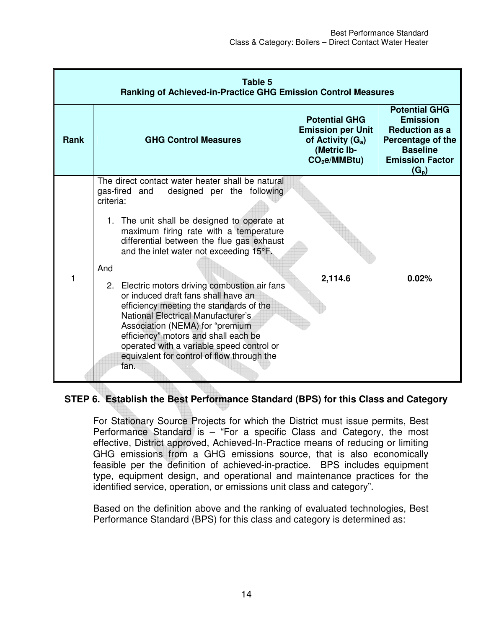| Table 5<br><b>Ranking of Achieved-in-Practice GHG Emission Control Measures</b> |                                                                                                                                                                                                                                                                                                                                                                                                                                                                                                                                                                                                                                                                     |                                                                                                          |                                                                                                                                               |
|---------------------------------------------------------------------------------|---------------------------------------------------------------------------------------------------------------------------------------------------------------------------------------------------------------------------------------------------------------------------------------------------------------------------------------------------------------------------------------------------------------------------------------------------------------------------------------------------------------------------------------------------------------------------------------------------------------------------------------------------------------------|----------------------------------------------------------------------------------------------------------|-----------------------------------------------------------------------------------------------------------------------------------------------|
| <b>Rank</b>                                                                     | <b>GHG Control Measures</b>                                                                                                                                                                                                                                                                                                                                                                                                                                                                                                                                                                                                                                         | <b>Potential GHG</b><br><b>Emission per Unit</b><br>of Activity $(G_a)$<br>(Metric Ib-<br>$CO2e/MMBtu$ ) | <b>Potential GHG</b><br><b>Emission</b><br><b>Reduction as a</b><br>Percentage of the<br><b>Baseline</b><br><b>Emission Factor</b><br>$(G_p)$ |
| 1                                                                               | The direct contact water heater shall be natural<br>gas-fired and<br>designed per the following<br>criteria:<br>1. The unit shall be designed to operate at<br>maximum firing rate with a temperature<br>differential between the flue gas exhaust<br>and the inlet water not exceeding 15°F.<br>And<br>2. Electric motors driving combustion air fans<br>or induced draft fans shall have an<br>efficiency meeting the standards of the<br><b>National Electrical Manufacturer's</b><br>Association (NEMA) for "premium<br>efficiency" motors and shall each be<br>operated with a variable speed control or<br>equivalent for control of flow through the<br>fan. | 2,114.6                                                                                                  | 0.02%                                                                                                                                         |

## **STEP 6. Establish the Best Performance Standard (BPS) for this Class and Category**

For Stationary Source Projects for which the District must issue permits, Best Performance Standard is – "For a specific Class and Category, the most effective, District approved, Achieved-In-Practice means of reducing or limiting GHG emissions from a GHG emissions source, that is also economically feasible per the definition of achieved-in-practice. BPS includes equipment type, equipment design, and operational and maintenance practices for the identified service, operation, or emissions unit class and category".

Based on the definition above and the ranking of evaluated technologies, Best Performance Standard (BPS) for this class and category is determined as: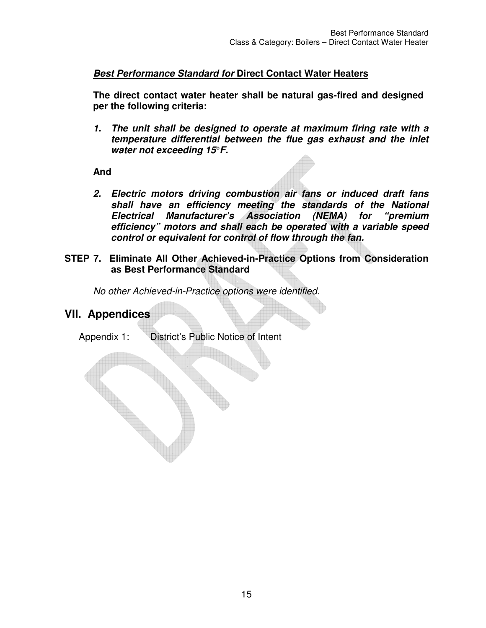### **Best Performance Standard for Direct Contact Water Heaters**

**The direct contact water heater shall be natural gas-fired and designed per the following criteria:** 

**1. The unit shall be designed to operate at maximum firing rate with a temperature differential between the flue gas exhaust and the inlet water not exceeding 15°F.** 

**And** 

- **2. Electric motors driving combustion air fans or induced draft fans shall have an efficiency meeting the standards of the National Electrical Manufacturer's Association (NEMA) for "premium efficiency" motors and shall each be operated with a variable speed control or equivalent for control of flow through the fan.**
- **STEP 7. Eliminate All Other Achieved-in-Practice Options from Consideration as Best Performance Standard**

*No other Achieved-in-Practice options were identified.* 

## **VII. Appendices**

Appendix 1: District's Public Notice of Intent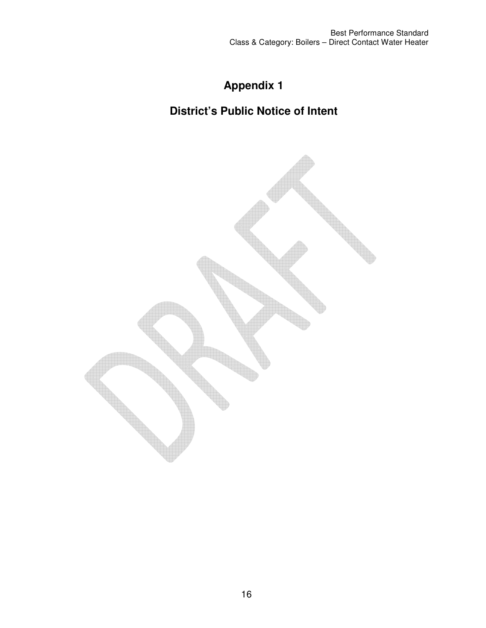# **Appendix 1**

# **District's Public Notice of Intent**

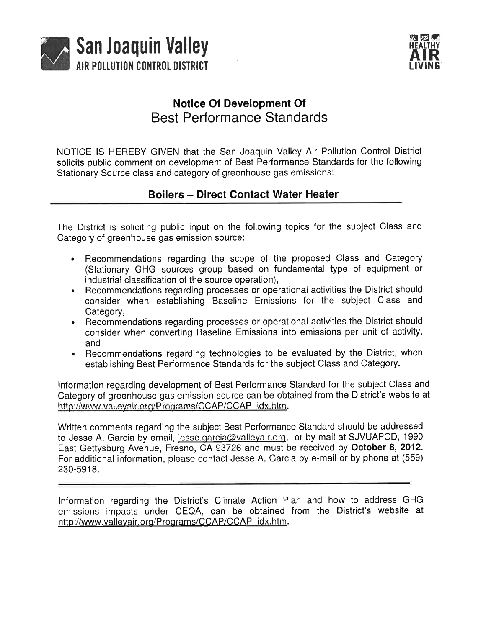



# **Notice Of Development Of Best Performance Standards**

NOTICE IS HEREBY GIVEN that the San Joaquin Valley Air Pollution Control District solicits public comment on development of Best Performance Standards for the following Stationary Source class and category of greenhouse gas emissions:

## **Boilers - Direct Contact Water Heater**

The District is soliciting public input on the following topics for the subject Class and Category of greenhouse gas emission source:

- Recommendations regarding the scope of the proposed Class and Category (Stationary GHG sources group based on fundamental type of equipment or industrial classification of the source operation),
- Recommendations regarding processes or operational activities the District should consider when establishing Baseline Emissions for the subject Class and Category,
- Recommendations regarding processes or operational activities the District should consider when converting Baseline Emissions into emissions per unit of activity, and
- Recommendations regarding technologies to be evaluated by the District, when establishing Best Performance Standards for the subject Class and Category.

Information regarding development of Best Performance Standard for the subject Class and Category of greenhouse gas emission source can be obtained from the District's website at http://www.valleyair.org/Programs/CCAP/CCAP idx.htm.

Written comments regarding the subject Best Performance Standard should be addressed to Jesse A. Garcia by email, jesse.garcia@valleyair.org, or by mail at SJVUAPCD, 1990 East Gettysburg Avenue, Fresno, CA 93726 and must be received by October 8, 2012. For additional information, please contact Jesse A. Garcia by e-mail or by phone at (559) 230-5918.

Information regarding the District's Climate Action Plan and how to address GHG emissions impacts under CEQA, can be obtained from the District's website at http://www.valleyair.org/Programs/CCAP/CCAP idx.htm.